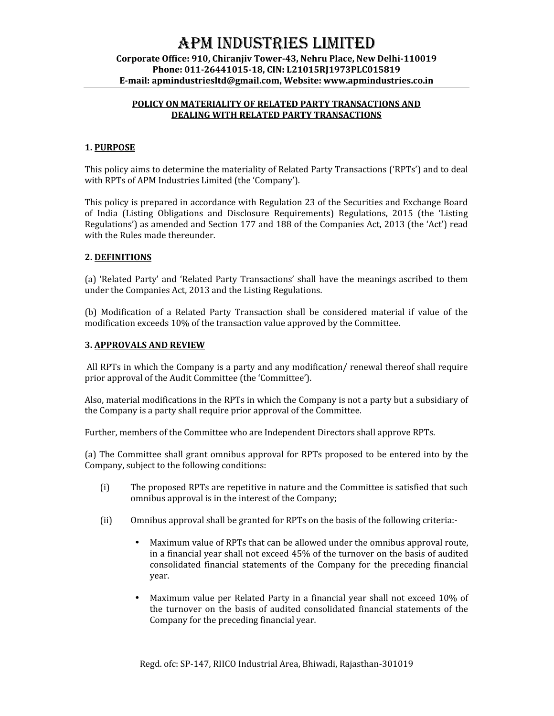# APM INDUSTRIES LIMITED

## **Corporate Office: 910, Chiranjiv Tower-43, Nehru Place, New Delhi-110019 Phone: 011-26441015-18, CIN: L21015RJ1973PLC015819 E-mail: apmindustriesltd@gmail.com, Website: www.apmindustries.co.in**

## **POLICY ON MATERIALITY OF RELATED PARTY TRANSACTIONS AND DEALING WITH RELATED PARTY TRANSACTIONS**

## **1. PURPOSE**

This policy aims to determine the materiality of Related Party Transactions ('RPTs') and to deal with RPTs of APM Industries Limited (the 'Company').

This policy is prepared in accordance with Regulation 23 of the Securities and Exchange Board of India (Listing Obligations and Disclosure Requirements) Regulations, 2015 (the 'Listing Regulations') as amended and Section 177 and 188 of the Companies Act, 2013 (the 'Act') read with the Rules made thereunder.

## **2. DEFINITIONS**

(a) 'Related Party' and 'Related Party Transactions' shall have the meanings ascribed to them under the Companies Act, 2013 and the Listing Regulations.

(b) Modification of a Related Party Transaction shall be considered material if value of the modification exceeds 10% of the transaction value approved by the Committee.

#### **3. APPROVALS AND REVIEW**

All RPTs in which the Company is a party and any modification/ renewal thereof shall require prior approval of the Audit Committee (the 'Committee').

Also, material modifications in the RPTs in which the Company is not a party but a subsidiary of the Company is a party shall require prior approval of the Committee.

Further, members of the Committee who are Independent Directors shall approve RPTs.

(a) The Committee shall grant omnibus approval for RPTs proposed to be entered into by the Company, subject to the following conditions:

- (i) The proposed RPTs are repetitive in nature and the Committee is satisfied that such omnibus approval is in the interest of the Company;
- (ii) Omnibus approval shall be granted for RPTs on the basis of the following criteria:-
	- Maximum value of RPTs that can be allowed under the omnibus approval route, in a financial year shall not exceed 45% of the turnover on the basis of audited consolidated financial statements of the Company for the preceding financial year.
	- Maximum value per Related Party in a financial year shall not exceed 10% of the turnover on the basis of audited consolidated financial statements of the Company for the preceding financial year.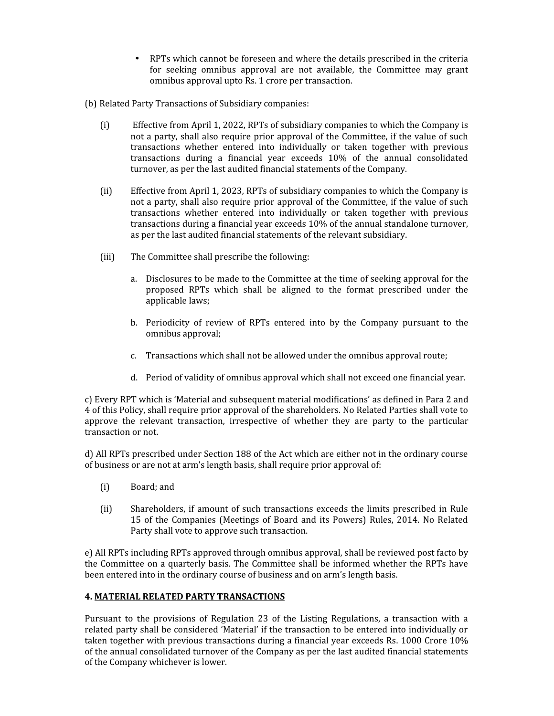- RPTs which cannot be foreseen and where the details prescribed in the criteria for seeking omnibus approval are not available, the Committee may grant omnibus approval upto Rs. 1 crore per transaction.
- (b) Related Party Transactions of Subsidiary companies:
	- (i) Effective from April 1, 2022, RPTs of subsidiary companies to which the Company is not a party, shall also require prior approval of the Committee, if the value of such transactions whether entered into individually or taken together with previous transactions during a financial year exceeds 10% of the annual consolidated turnover, as per the last audited financial statements of the Company.
	- (ii) Effective from April 1, 2023, RPTs of subsidiary companies to which the Company is not a party, shall also require prior approval of the Committee, if the value of such transactions whether entered into individually or taken together with previous transactions during a financial year exceeds 10% of the annual standalone turnover, as per the last audited financial statements of the relevant subsidiary.
	- (iii) The Committee shall prescribe the following:
		- a. Disclosures to be made to the Committee at the time of seeking approval for the proposed RPTs which shall be aligned to the format prescribed under the applicable laws;
		- b. Periodicity of review of RPTs entered into by the Company pursuant to the omnibus approval;
		- c. Transactions which shall not be allowed under the omnibus approval route;
		- d. Period of validity of omnibus approval which shall not exceed one financial year.

c) Every RPT which is 'Material and subsequent material modifications' as defined in Para 2 and 4 of this Policy, shall require prior approval of the shareholders. No Related Parties shall vote to approve the relevant transaction, irrespective of whether they are party to the particular transaction or not.

d) All RPTs prescribed under Section 188 of the Act which are either not in the ordinary course of business or are not at arm's length basis, shall require prior approval of:

- (i) Board; and
- (ii) Shareholders, if amount of such transactions exceeds the limits prescribed in Rule 15 of the Companies (Meetings of Board and its Powers) Rules, 2014. No Related Party shall vote to approve such transaction.

e) All RPTs including RPTs approved through omnibus approval, shall be reviewed post facto by the Committee on a quarterly basis. The Committee shall be informed whether the RPTs have been entered into in the ordinary course of business and on arm's length basis.

# **4. MATERIAL RELATED PARTY TRANSACTIONS**

Pursuant to the provisions of Regulation 23 of the Listing Regulations, a transaction with a related party shall be considered 'Material' if the transaction to be entered into individually or taken together with previous transactions during a financial year exceeds Rs. 1000 Crore 10% of the annual consolidated turnover of the Company as per the last audited financial statements of the Company whichever is lower.